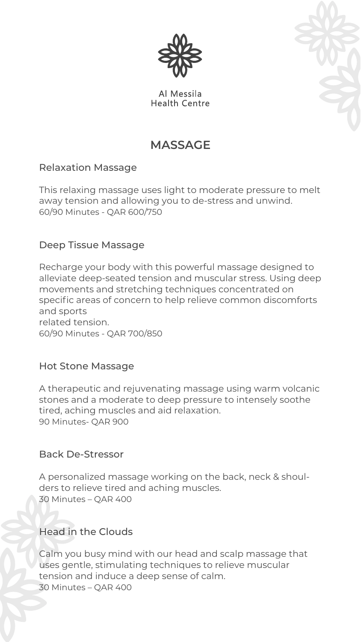

Al Messila **Health Centre** 



## **MASSAGE**

## Relaxation Massage

This relaxing massage uses light to moderate pressure to melt away tension and allowing you to de-stress and unwind. 60/90 Minutes - QAR 600/750

## Deep Tissue Massage

Recharge your body with this powerful massage designed to alleviate deep-seated tension and muscular stress. Using deep movements and stretching techniques concentrated on specific areas of concern to help relieve common discomforts and sports related tension. 60/90 Minutes - QAR 700/850

### Hot Stone Massage

A therapeutic and rejuvenating massage using warm volcanic stones and a moderate to deep pressure to intensely soothe tired, aching muscles and aid relaxation. 90 Minutes- QAR 900

### Back De-Stressor

A personalized massage working on the back, neck & shoulders to relieve tired and aching muscles. 30 Minutes – QAR 400

## Head in the Clouds

Calm you busy mind with our head and scalp massage that uses gentle, stimulating techniques to relieve muscular tension and induce a deep sense of calm. 30 Minutes – QAR 400